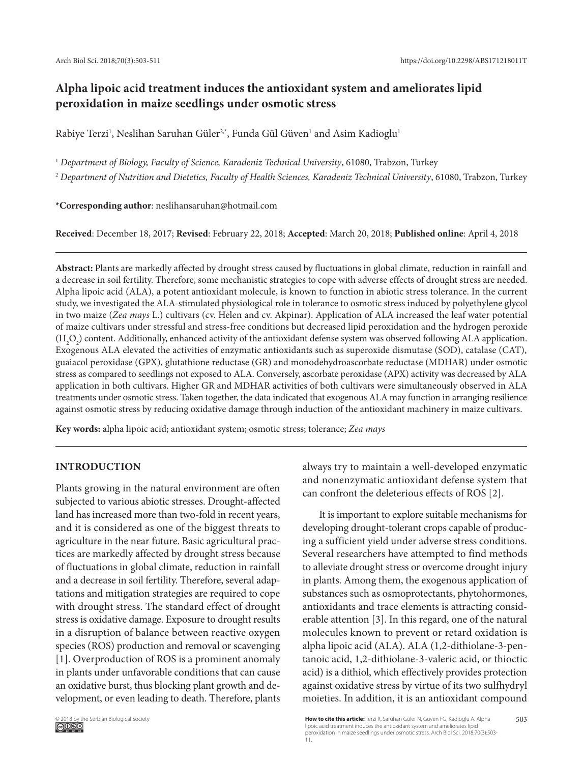# **Alpha lipoic acid treatment induces the antioxidant system and ameliorates lipid peroxidation in maize seedlings under osmotic stress**

Rabiye Terzi<sup>1</sup>, Neslihan Saruhan Güler<sup>2,\*</sup>, Funda Gül Güven<sup>1</sup> and Asim Kadioglu<sup>1</sup>

<sup>1</sup> Department of Biology, Faculty of Science, Karadeniz Technical University, 61080, Trabzon, Turkey

<sup>2</sup> *Department of Nutrition and Dietetics, Faculty of Health Sciences, Karadeniz Technical University*, 61080, Trabzon, Turkey

**\*Corresponding author**: neslihansaruhan@hotmail.com

**Received**: December 18, 2017; **Revised**: February 22, 2018; **Accepted**: March 20, 2018; **Published online**: April 4, 2018

**Abstract:** Plants are markedly affected by drought stress caused by fluctuations in global climate, reduction in rainfall and a decrease in soil fertility. Therefore, some mechanistic strategies to cope with adverse effects of drought stress are needed. Alpha lipoic acid (ALA), a potent antioxidant molecule, is known to function in abiotic stress tolerance. In the current study, we investigated the ALA-stimulated physiological role in tolerance to osmotic stress induced by polyethylene glycol in two maize (*Zea mays* L.) cultivars (cv. Helen and cv. Akpinar). Application of ALA increased the leaf water potential of maize cultivars under stressful and stress-free conditions but decreased lipid peroxidation and the hydrogen peroxide  $(H_2O_2)$  content. Additionally, enhanced activity of the antioxidant defense system was observed following ALA application. Exogenous ALA elevated the activities of enzymatic antioxidants such as superoxide dismutase (SOD), catalase (CAT), guaiacol peroxidase (GPX), glutathione reductase (GR) and monodehydroascorbate reductase (MDHAR) under osmotic stress as compared to seedlings not exposed to ALA. Conversely, ascorbate peroxidase (APX) activity was decreased by ALA application in both cultivars. Higher GR and MDHAR activities of both cultivars were simultaneously observed in ALA treatments under osmotic stress. Taken together, the data indicated that exogenous ALA may function in arranging resilience against osmotic stress by reducing oxidative damage through induction of the antioxidant machinery in maize cultivars.

**Key words:** alpha lipoic acid; antioxidant system; osmotic stress; tolerance; *Zea mays*

# **INTRODUCTION**

Plants growing in the natural environment are often subjected to various abiotic stresses. Drought-affected land has increased more than two-fold in recent years, and it is considered as one of the biggest threats to agriculture in the near future. Basic agricultural practices are markedly affected by drought stress because of fluctuations in global climate, reduction in rainfall and a decrease in soil fertility. Therefore, several adaptations and mitigation strategies are required to cope with drought stress. The standard effect of drought stress is oxidative damage. Exposure to drought results in a disruption of balance between reactive oxygen species (ROS) production and removal or scavenging [1]. Overproduction of ROS is a prominent anomaly in plants under unfavorable conditions that can cause an oxidative burst, thus blocking plant growth and development, or even leading to death. Therefore, plants

always try to maintain a well-developed enzymatic and nonenzymatic antioxidant defense system that can confront the deleterious effects of ROS [2].

It is important to explore suitable mechanisms for developing drought-tolerant crops capable of producing a sufficient yield under adverse stress conditions. Several researchers have attempted to find methods to alleviate drought stress or overcome drought injury in plants. Among them, the exogenous application of substances such as osmoprotectants, phytohormones, antioxidants and trace elements is attracting considerable attention [3]. In this regard, one of the natural molecules known to prevent or retard oxidation is alpha lipoic acid (ALA). ALA (1,2-dithiolane-3-pentanoic acid, 1,2-dithiolane-3-valeric acid, or thioctic acid) is a dithiol, which effectively provides protection against oxidative stress by virtue of its two sulfhydryl moieties. In addition, it is an antioxidant compound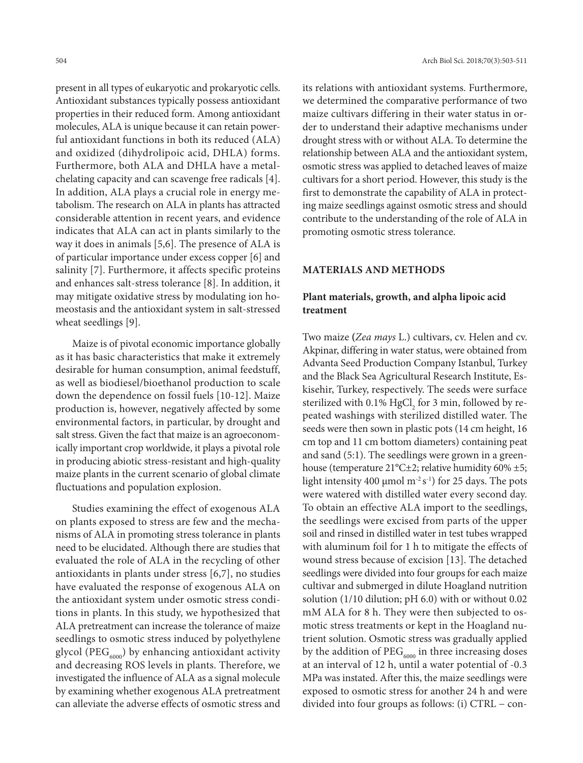present in all types of eukaryotic and prokaryotic cells. Antioxidant substances typically possess antioxidant properties in their reduced form. Among antioxidant molecules, ALA is unique because it can retain powerful antioxidant functions in both its reduced (ALA) and oxidized (dihydrolipoic acid, DHLA) forms. Furthermore, both ALA and DHLA have a metalchelating capacity and can scavenge free radicals [4]. In addition, ALA plays a crucial role in energy metabolism. The research on ALA in plants has attracted considerable attention in recent years, and evidence indicates that ALA can act in plants similarly to the way it does in animals [5,6]. The presence of ALA is of particular importance under excess copper [6] and salinity [7]. Furthermore, it affects specific proteins and enhances salt-stress tolerance [8]. In addition, it may mitigate oxidative stress by modulating ion homeostasis and the antioxidant system in salt-stressed wheat seedlings [9].

Maize is of pivotal economic importance globally as it has basic characteristics that make it extremely desirable for human consumption, animal feedstuff, as well as biodiesel/bioethanol production to scale down the dependence on fossil fuels [10-12]. Maize production is, however, negatively affected by some environmental factors, in particular, by drought and salt stress. Given the fact that maize is an agroeconomically important crop worldwide, it plays a pivotal role in producing abiotic stress-resistant and high-quality maize plants in the current scenario of global climate fluctuations and population explosion.

Studies examining the effect of exogenous ALA on plants exposed to stress are few and the mechanisms of ALA in promoting stress tolerance in plants need to be elucidated. Although there are studies that evaluated the role of ALA in the recycling of other antioxidants in plants under stress [6,7], no studies have evaluated the response of exogenous ALA on the antioxidant system under osmotic stress conditions in plants. In this study, we hypothesized that ALA pretreatment can increase the tolerance of maize seedlings to osmotic stress induced by polyethylene glycol (PEG $_{6000}$ ) by enhancing antioxidant activity and decreasing ROS levels in plants. Therefore, we investigated the influence of ALA as a signal molecule by examining whether exogenous ALA pretreatment can alleviate the adverse effects of osmotic stress and

its relations with antioxidant systems. Furthermore, we determined the comparative performance of two maize cultivars differing in their water status in order to understand their adaptive mechanisms under drought stress with or without ALA. To determine the relationship between ALA and the antioxidant system, osmotic stress was applied to detached leaves of maize cultivars for a short period. However, this study is the first to demonstrate the capability of ALA in protecting maize seedlings against osmotic stress and should contribute to the understanding of the role of ALA in promoting osmotic stress tolerance.

### **MATERIALS AND METHODS**

# **Plant materials, growth, and alpha lipoic acid treatment**

Two maize **(***Zea mays* L.) cultivars, cv. Helen and cv. Akpinar, differing in water status, were obtained from Advanta Seed Production Company Istanbul, Turkey and the Black Sea Agricultural Research Institute, Eskisehir, Turkey, respectively. The seeds were surface sterilized with 0.1%  $HgCl<sub>2</sub>$  for 3 min, followed by repeated washings with sterilized distilled water. The seeds were then sown in plastic pots (14 cm height, 16 cm top and 11 cm bottom diameters) containing peat and sand (5:1). The seedlings were grown in a greenhouse (temperature 21°C±2; relative humidity 60% ±5; light intensity 400 µmol  $m^{-2} s^{-1}$ ) for 25 days. The pots were watered with distilled water every second day. To obtain an effective ALA import to the seedlings, the seedlings were excised from parts of the upper soil and rinsed in distilled water in test tubes wrapped with aluminum foil for 1 h to mitigate the effects of wound stress because of excision [13]. The detached seedlings were divided into four groups for each maize cultivar and submerged in dilute Hoagland nutrition solution (1/10 dilution; pH 6.0) with or without 0.02 mM ALA for 8 h. They were then subjected to osmotic stress treatments or kept in the Hoagland nutrient solution. Osmotic stress was gradually applied by the addition of  $\mathrm{PEG}_{6000}$  in three increasing doses at an interval of 12 h, until a water potential of -0.3 MPa was instated. After this, the maize seedlings were exposed to osmotic stress for another 24 h and were divided into four groups as follows: (i) CTRL − con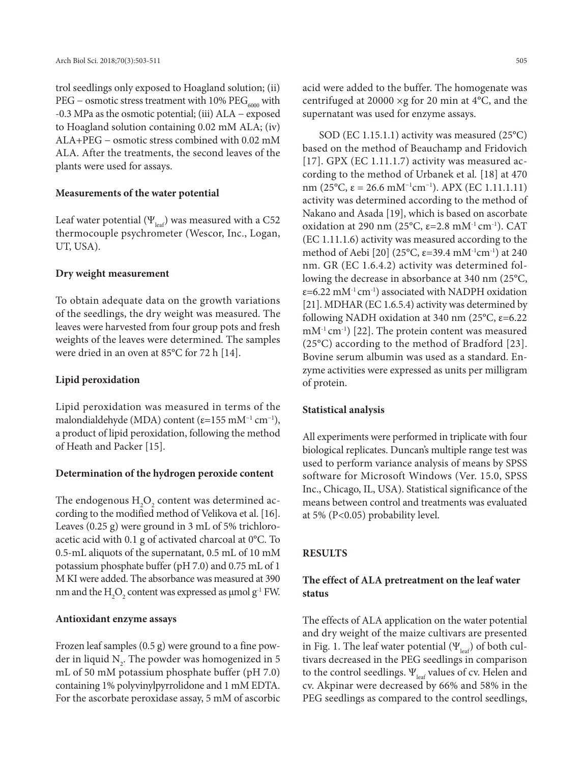trol seedlings only exposed to Hoagland solution; (ii) PEG – osmotic stress treatment with 10%  $PEG<sub>6000</sub>$  with -0.3 MPa as the osmotic potential; (iii) ALA − exposed to Hoagland solution containing 0.02 mM ALA; (iv) ALA+PEG − osmotic stress combined with 0.02 mM ALA. After the treatments, the second leaves of the plants were used for assays.

#### **Measurements of the water potential**

Leaf water potential ( $\Psi_{\text{leaf}}$ ) was measured with a C52 thermocouple psychrometer (Wescor, Inc., Logan, UT, USA).

#### **Dry weight measurement**

To obtain adequate data on the growth variations of the seedlings, the dry weight was measured. The leaves were harvested from four group pots and fresh weights of the leaves were determined. The samples were dried in an oven at 85°C for 72 h [14].

#### **Lipid peroxidation**

Lipid peroxidation was measured in terms of the malondialdehyde (MDA) content ( $\varepsilon$ =155 mM<sup>-1</sup> cm<sup>-1</sup>), a product of lipid peroxidation, following the method of Heath and Packer [15].

#### **Determination of the hydrogen peroxide content**

The endogenous  ${\rm H_2O}_2$  content was determined according to the modified method of Velikova et al. [16]. Leaves (0.25 g) were ground in 3 mL of 5% trichloroacetic acid with 0.1 g of activated charcoal at 0°C. To 0.5-mL aliquots of the supernatant, 0.5 mL of 10 mM potassium phosphate buffer (pH 7.0) and 0.75 mL of 1 M KI were added. The absorbance was measured at 390 nm and the  $\mathrm{H}_{2}\mathrm{O}_{2}$  content was expressed as  $\mu$ mol g<sup>-1</sup> FW.

#### **Antioxidant enzyme assays**

Frozen leaf samples (0.5 g) were ground to a fine powder in liquid  $\mathrm{N}_2$ . The powder was homogenized in 5 mL of 50 mM potassium phosphate buffer (pH 7.0) containing 1% polyvinylpyrrolidone and 1 mM EDTA. For the ascorbate peroxidase assay, 5 mM of ascorbic

acid were added to the buffer. The homogenate was centrifuged at 20000 ×g for 20 min at 4°C, and the supernatant was used for enzyme assays.

SOD (EC 1.15.1.1) activity was measured (25°C) based on the method of Beauchamp and Fridovich [17]. GPX (EC 1.11.1.7) activity was measured according to the method of Urbanek et al*.* [18] at 470 nm (25°C, ε = 26.6 mM<sup>-1</sup>cm<sup>-1</sup>). APX (EC 1.11.1.11) activity was determined according to the method of Nakano and Asada [19], which is based on ascorbate oxidation at 290 nm (25°C,  $\varepsilon$ =2.8 mM<sup>-1</sup> cm<sup>-1</sup>). CAT (EC 1.11.1.6) activity was measured according to the method of Aebi [20] (25°C,  $\varepsilon$ =39.4 mM<sup>-1</sup>cm<sup>-1</sup>) at 240 nm. GR (EC 1.6.4.2) activity was determined following the decrease in absorbance at 340 nm (25°C,  $\varepsilon$ =6.22 mM<sup>-1</sup> cm<sup>-1</sup>) associated with NADPH oxidation [21]. MDHAR (EC 1.6.5.4) activity was determined by following NADH oxidation at 340 nm (25 $^{\circ}$ C,  $\varepsilon$ =6.22  $mM^{-1}$  cm<sup>-1</sup>) [22]. The protein content was measured (25°C) according to the method of Bradford [23]. Bovine serum albumin was used as a standard. Enzyme activities were expressed as units per milligram of protein.

#### **Statistical analysis**

All experiments were performed in triplicate with four biological replicates. Duncan's multiple range test was used to perform variance analysis of means by SPSS software for Microsoft Windows (Ver. 15.0, SPSS Inc., Chicago, IL, USA). Statistical significance of the means between control and treatments was evaluated at 5% (P<0.05) probability level.

#### **RESULTS**

# **The effect of ALA pretreatment on the leaf water status**

The effects of ALA application on the water potential and dry weight of the maize cultivars are presented in Fig. 1. The leaf water potential  $(\Psi_{\text{leaf}})$  of both cultivars decreased in the PEG seedlings in comparison to the control seedlings.  $\Psi_{\text{leaf}}$  values of cv. Helen and cv. Akpinar were decreased by 66% and 58% in the PEG seedlings as compared to the control seedlings,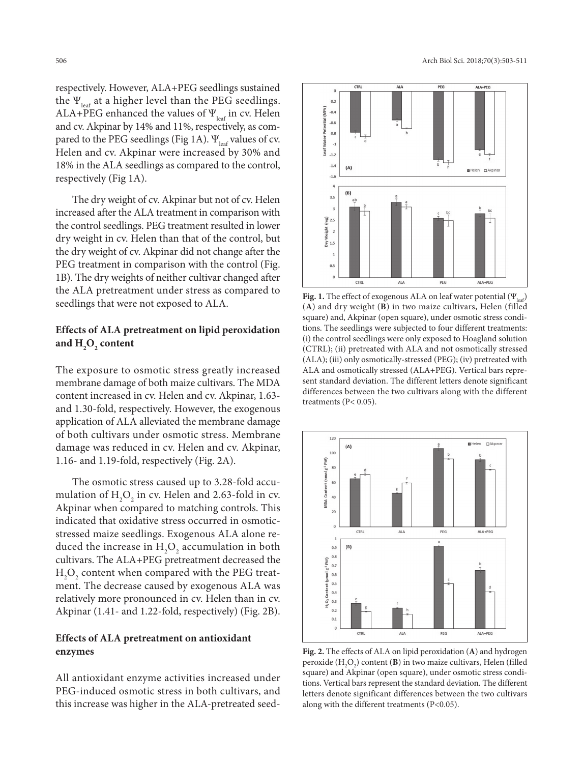respectively. However, ALA+PEG seedlings sustained the  $\Psi_{\text{leaf}}$  at a higher level than the PEG seedlings. ALA+PEG enhanced the values of  $\Psi_{\text{leaf}}$  in cv. Helen and cv. Akpinar by 14% and 11%, respectively, as compared to the PEG seedlings (Fig 1A).  $\Psi_{\text{leaf}}$  values of cv. Helen and cv. Akpinar were increased by 30% and 18% in the ALA seedlings as compared to the control, respectively (Fig 1A).

The dry weight of cv. Akpinar but not of cv. Helen increased after the ALA treatment in comparison with the control seedlings. PEG treatment resulted in lower dry weight in cv. Helen than that of the control, but the dry weight of cv. Akpinar did not change after the PEG treatment in comparison with the control (Fig. 1B). The dry weights of neither cultivar changed after the ALA pretreatment under stress as compared to seedlings that were not exposed to ALA.

# **Effects of ALA pretreatment on lipid peroxidation**  and  $H_2O_2$  content

The exposure to osmotic stress greatly increased membrane damage of both maize cultivars. The MDA content increased in cv. Helen and cv. Akpinar, 1.63 and 1.30-fold, respectively. However, the exogenous application of ALA alleviated the membrane damage of both cultivars under osmotic stress. Membrane damage was reduced in cv. Helen and cv. Akpinar, 1.16- and 1.19-fold, respectively (Fig. 2A).

The osmotic stress caused up to 3.28-fold accumulation of  $H_2O_2$  in cv. Helen and 2.63-fold in cv. Akpinar when compared to matching controls. This indicated that oxidative stress occurred in osmoticstressed maize seedlings. Exogenous ALA alone reduced the increase in  $\rm H_2O_2$  accumulation in both cultivars. The ALA+PEG pretreatment decreased the  $\rm H_2O_2$  content when compared with the PEG treatment. The decrease caused by exogenous ALA was relatively more pronounced in cv. Helen than in cv. Akpinar (1.41- and 1.22-fold, respectively) (Fig. 2B).

# **Effects of ALA pretreatment on antioxidant enzymes**

All antioxidant enzyme activities increased under PEG-induced osmotic stress in both cultivars, and this increase was higher in the ALA-pretreated seed-



**Fig. 1.** The effect of exogenous ALA on leaf water potential (Ψ<sub>leaf</sub>) (**A**) and dry weight (**B**) in two maize cultivars, Helen (filled square) and, Akpinar (open square), under osmotic stress conditions. The seedlings were subjected to four different treatments: (i) the control seedlings were only exposed to Hoagland solution (CTRL); (ii) pretreated with ALA and not osmotically stressed (ALA); (iii) only osmotically-stressed (PEG); (iv) pretreated with ALA and osmotically stressed (ALA+PEG). Vertical bars represent standard deviation. The different letters denote significant differences between the two cultivars along with the different treatments (P< 0.05).



**Fig. 2.** The effects of ALA on lipid peroxidation (**A**) and hydrogen peroxide  $(H_2O_2)$  content (**B**) in two maize cultivars, Helen (filled square) and Akpinar (open square), under osmotic stress conditions. Vertical bars represent the standard deviation. The different letters denote significant differences between the two cultivars along with the different treatments (P<0.05).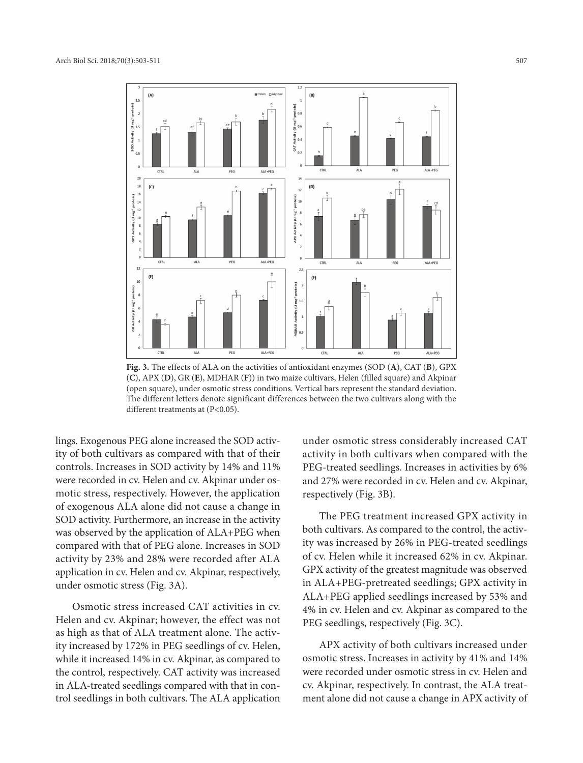

**Fig. 3.** The effects of ALA on the activities of antioxidant enzymes (SOD (**A**), CAT (**B**), GPX (**C**), APX (**D**), GR (**E**), MDHAR (**F**)) in two maize cultivars, Helen (filled square) and Akpinar (open square), under osmotic stress conditions. Vertical bars represent the standard deviation. The different letters denote significant differences between the two cultivars along with the different treatments at (P<0.05).

lings. Exogenous PEG alone increased the SOD activity of both cultivars as compared with that of their controls. Increases in SOD activity by 14% and 11% were recorded in cv. Helen and cv. Akpinar under osmotic stress, respectively. However, the application of exogenous ALA alone did not cause a change in SOD activity. Furthermore, an increase in the activity was observed by the application of ALA+PEG when compared with that of PEG alone. Increases in SOD activity by 23% and 28% were recorded after ALA application in cv. Helen and cv. Akpinar, respectively, under osmotic stress (Fig. 3A).

Osmotic stress increased CAT activities in cv. Helen and cv. Akpinar; however, the effect was not as high as that of ALA treatment alone. The activity increased by 172% in PEG seedlings of cv. Helen, while it increased 14% in cv. Akpinar, as compared to the control, respectively. CAT activity was increased in ALA-treated seedlings compared with that in control seedlings in both cultivars. The ALA application

under osmotic stress considerably increased CAT activity in both cultivars when compared with the PEG-treated seedlings. Increases in activities by 6% and 27% were recorded in cv. Helen and cv. Akpinar, respectively (Fig. 3B).

The PEG treatment increased GPX activity in both cultivars. As compared to the control, the activity was increased by 26% in PEG-treated seedlings of cv. Helen while it increased 62% in cv. Akpinar. GPX activity of the greatest magnitude was observed in ALA+PEG-pretreated seedlings; GPX activity in ALA+PEG applied seedlings increased by 53% and 4% in cv. Helen and cv. Akpinar as compared to the PEG seedlings, respectively (Fig. 3C).

APX activity of both cultivars increased under osmotic stress. Increases in activity by 41% and 14% were recorded under osmotic stress in cv. Helen and cv. Akpinar, respectively. In contrast, the ALA treatment alone did not cause a change in APX activity of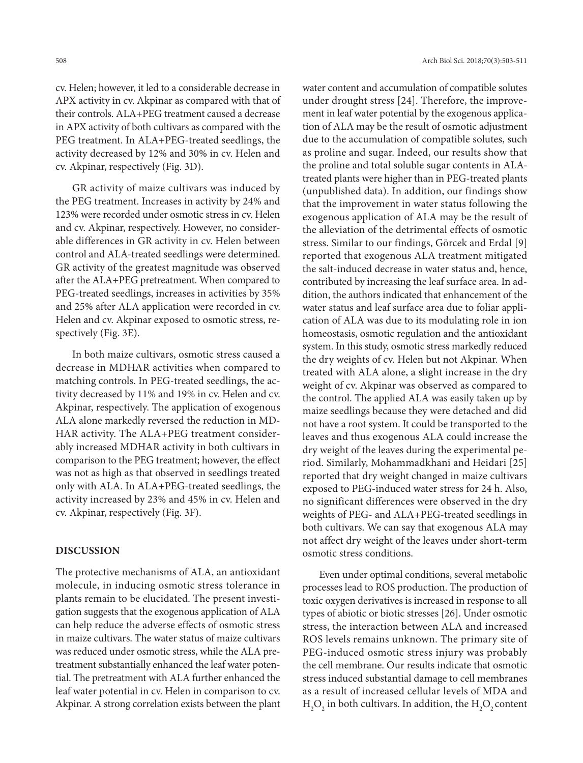cv. Helen; however, it led to a considerable decrease in APX activity in cv. Akpinar as compared with that of their controls. ALA+PEG treatment caused a decrease in APX activity of both cultivars as compared with the PEG treatment. In ALA+PEG-treated seedlings, the activity decreased by 12% and 30% in cv. Helen and cv. Akpinar, respectively (Fig. 3D).

GR activity of maize cultivars was induced by the PEG treatment. Increases in activity by 24% and 123% were recorded under osmotic stress in cv. Helen and cv. Akpinar, respectively. However, no considerable differences in GR activity in cv. Helen between control and ALA-treated seedlings were determined. GR activity of the greatest magnitude was observed after the ALA+PEG pretreatment. When compared to PEG-treated seedlings, increases in activities by 35% and 25% after ALA application were recorded in cv. Helen and cv. Akpinar exposed to osmotic stress, respectively (Fig. 3E).

In both maize cultivars, osmotic stress caused a decrease in MDHAR activities when compared to matching controls. In PEG-treated seedlings, the activity decreased by 11% and 19% in cv. Helen and cv. Akpinar, respectively. The application of exogenous ALA alone markedly reversed the reduction in MD-HAR activity. The ALA+PEG treatment considerably increased MDHAR activity in both cultivars in comparison to the PEG treatment; however, the effect was not as high as that observed in seedlings treated only with ALA. In ALA+PEG-treated seedlings, the activity increased by 23% and 45% in cv. Helen and cv. Akpinar, respectively (Fig. 3F).

### **DISCUSSION**

The protective mechanisms of ALA, an antioxidant molecule, in inducing osmotic stress tolerance in plants remain to be elucidated. The present investigation suggests that the exogenous application of ALA can help reduce the adverse effects of osmotic stress in maize cultivars. The water status of maize cultivars was reduced under osmotic stress, while the ALA pretreatment substantially enhanced the leaf water potential. The pretreatment with ALA further enhanced the leaf water potential in cv. Helen in comparison to cv. Akpinar. A strong correlation exists between the plant water content and accumulation of compatible solutes under drought stress [24]. Therefore, the improvement in leaf water potential by the exogenous application of ALA may be the result of osmotic adjustment due to the accumulation of compatible solutes, such as proline and sugar. Indeed, our results show that the proline and total soluble sugar contents in ALAtreated plants were higher than in PEG-treated plants (unpublished data). In addition, our findings show that the improvement in water status following the exogenous application of ALA may be the result of the alleviation of the detrimental effects of osmotic stress. Similar to our findings, Görcek and Erdal [9] reported that exogenous ALA treatment mitigated the salt-induced decrease in water status and, hence, contributed by increasing the leaf surface area. In addition, the authors indicated that enhancement of the water status and leaf surface area due to foliar application of ALA was due to its modulating role in ion homeostasis, osmotic regulation and the antioxidant system. In this study, osmotic stress markedly reduced the dry weights of cv. Helen but not Akpinar. When treated with ALA alone, a slight increase in the dry weight of cv. Akpinar was observed as compared to the control. The applied ALA was easily taken up by maize seedlings because they were detached and did not have a root system. It could be transported to the leaves and thus exogenous ALA could increase the dry weight of the leaves during the experimental period. Similarly, Mohammadkhani and Heidari [25] reported that dry weight changed in maize cultivars exposed to PEG-induced water stress for 24 h. Also, no significant differences were observed in the dry weights of PEG- and ALA+PEG-treated seedlings in both cultivars. We can say that exogenous ALA may not affect dry weight of the leaves under short-term osmotic stress conditions.

Even under optimal conditions, several metabolic processes lead to ROS production. The production of toxic oxygen derivatives is increased in response to all types of abiotic or biotic stresses [26]. Under osmotic stress, the interaction between ALA and increased ROS levels remains unknown. The primary site of PEG-induced osmotic stress injury was probably the cell membrane. Our results indicate that osmotic stress induced substantial damage to cell membranes as a result of increased cellular levels of MDA and  $H_2O_2$  in both cultivars. In addition, the  $H_2O_2$  content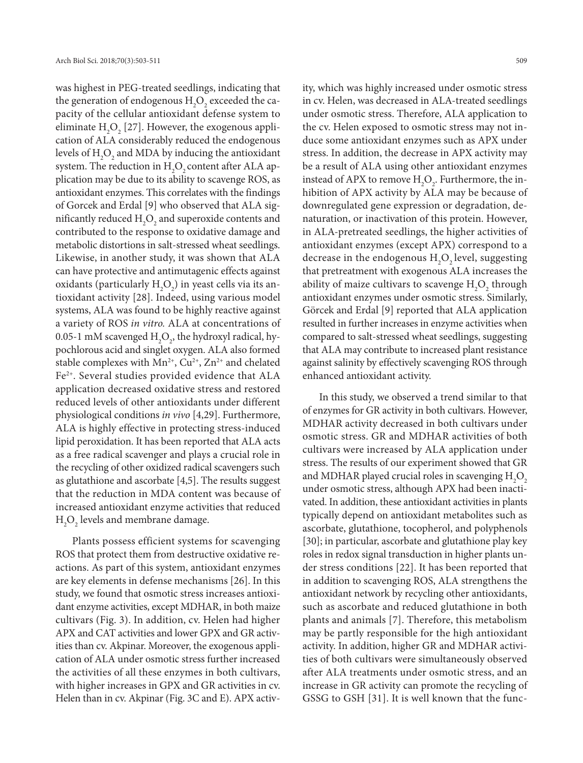was highest in PEG-treated seedlings, indicating that the generation of endogenous  $\mathrm{H}_{2}\mathrm{O}_{2}$  exceeded the capacity of the cellular antioxidant defense system to eliminate  $\mathrm{H}_{2}\mathrm{O}_{2}$  [27]. However, the exogenous application of ALA considerably reduced the endogenous levels of  $\mathrm{H}_{2}\mathrm{O}_{2}$  and MDA by inducing the antioxidant system. The reduction in  $\rm H_2O_2$  content after ALA application may be due to its ability to scavenge ROS, as antioxidant enzymes. This correlates with the findings of Gorcek and Erdal [9] who observed that ALA significantly reduced  $\mathrm{H}_{2}\mathrm{O}_{2}$  and superoxide contents and contributed to the response to oxidative damage and metabolic distortions in salt-stressed wheat seedlings. Likewise, in another study, it was shown that ALA can have protective and antimutagenic effects against oxidants (particularly  $H_2O_2$ ) in yeast cells via its antioxidant activity [28]. Indeed, using various model systems, ALA was found to be highly reactive against a variety of ROS *in vitro.* ALA at concentrations of 0.05-1 mM scavenged  $\mathrm{H}_{2}\mathrm{O}_{2}$ , the hydroxyl radical, hypochlorous acid and singlet oxygen. ALA also formed stable complexes with  $Mn^{2+}$ ,  $Cu^{2+}$ ,  $Zn^{2+}$  and chelated Fe2+. Several studies provided evidence that ALA application decreased oxidative stress and restored reduced levels of other antioxidants under different physiological conditions *in vivo* [4,29]. Furthermore, ALA is highly effective in protecting stress-induced lipid peroxidation. It has been reported that ALA acts as a free radical scavenger and plays a crucial role in the recycling of other oxidized radical scavengers such as glutathione and ascorbate [4,5]. The results suggest that the reduction in MDA content was because of increased antioxidant enzyme activities that reduced  $\rm H_2O_2$  levels and membrane damage.

Plants possess efficient systems for scavenging ROS that protect them from destructive oxidative reactions. As part of this system, antioxidant enzymes are key elements in defense mechanisms [26]. In this study, we found that osmotic stress increases antioxidant enzyme activities, except MDHAR, in both maize cultivars (Fig. 3). In addition, cv. Helen had higher APX and CAT activities and lower GPX and GR activities than cv. Akpinar. Moreover, the exogenous application of ALA under osmotic stress further increased the activities of all these enzymes in both cultivars, with higher increases in GPX and GR activities in cv. Helen than in cv. Akpinar (Fig. 3C and E). APX activity, which was highly increased under osmotic stress in cv. Helen, was decreased in ALA-treated seedlings under osmotic stress. Therefore, ALA application to the cv. Helen exposed to osmotic stress may not induce some antioxidant enzymes such as APX under stress. In addition, the decrease in APX activity may be a result of ALA using other antioxidant enzymes instead of APX to remove  $H_2O_2$ . Furthermore, the inhibition of APX activity by ALA may be because of downregulated gene expression or degradation, denaturation, or inactivation of this protein. However, in ALA-pretreated seedlings, the higher activities of antioxidant enzymes (except APX) correspond to a decrease in the endogenous  $H_2O_2$  level, suggesting that pretreatment with exogenous ALA increases the ability of maize cultivars to scavenge  $H_2O_2$  through antioxidant enzymes under osmotic stress. Similarly, Görcek and Erdal [9] reported that ALA application resulted in further increases in enzyme activities when compared to salt-stressed wheat seedlings, suggesting that ALA may contribute to increased plant resistance against salinity by effectively scavenging ROS through enhanced antioxidant activity.

In this study, we observed a trend similar to that of enzymes for GR activity in both cultivars. However, MDHAR activity decreased in both cultivars under osmotic stress. GR and MDHAR activities of both cultivars were increased by ALA application under stress. The results of our experiment showed that GR and MDHAR played crucial roles in scavenging  ${\rm H_2O}_2$ under osmotic stress, although APX had been inactivated. In addition, these antioxidant activities in plants typically depend on antioxidant metabolites such as ascorbate, glutathione, tocopherol, and polyphenols [30]; in particular, ascorbate and glutathione play key roles in redox signal transduction in higher plants under stress conditions [22]. It has been reported that in addition to scavenging ROS, ALA strengthens the antioxidant network by recycling other antioxidants, such as ascorbate and reduced glutathione in both plants and animals [7]. Therefore, this metabolism may be partly responsible for the high antioxidant activity. In addition, higher GR and MDHAR activities of both cultivars were simultaneously observed after ALA treatments under osmotic stress, and an increase in GR activity can promote the recycling of GSSG to GSH [31]. It is well known that the func-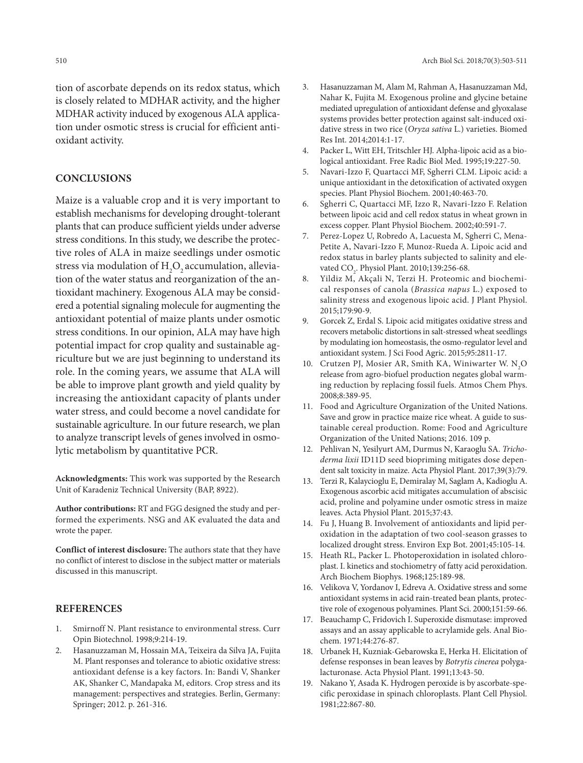tion of ascorbate depends on its redox status, which is closely related to MDHAR activity, and the higher MDHAR activity induced by exogenous ALA application under osmotic stress is crucial for efficient antioxidant activity.

### **CONCLUSIONS**

Maize is a valuable crop and it is very important to establish mechanisms for developing drought-tolerant plants that can produce sufficient yields under adverse stress conditions. In this study, we describe the protective roles of ALA in maize seedlings under osmotic stress via modulation of  $\rm{H}_{_2}\rm{O}_{_2}$  accumulation, alleviation of the water status and reorganization of the antioxidant machinery. Exogenous ALA may be considered a potential signaling molecule for augmenting the antioxidant potential of maize plants under osmotic stress conditions. In our opinion, ALA may have high potential impact for crop quality and sustainable agriculture but we are just beginning to understand its role. In the coming years, we assume that ALA will be able to improve plant growth and yield quality by increasing the antioxidant capacity of plants under water stress, and could become a novel candidate for sustainable agriculture. In our future research, we plan to analyze transcript levels of genes involved in osmolytic metabolism by quantitative PCR.

**Acknowledgments:** This work was supported by the Research Unit of Karadeniz Technical University (BAP, 8922).

**Author contributions:** RT and FGG designed the study and performed the experiments. NSG and AK evaluated the data and wrote the paper.

**Conflict of interest disclosure:** The authors state that they have no conflict of interest to disclose in the subject matter or materials discussed in this manuscript.

### **REFERENCES**

- 1. Smirnoff N. Plant resistance to environmental stress. Curr Opin Biotechnol. 1998;9:214-19.
- 2. Hasanuzzaman M, Hossain MA, Teixeira da Silva JA, Fujita M. Plant responses and tolerance to abiotic oxidative stress: antioxidant defense is a key factors. In: Bandi V, Shanker AK, Shanker C, Mandapaka M, editors. Crop stress and its management: perspectives and strategies. Berlin, Germany: Springer; 2012. p. 261-316.
- 3. Hasanuzzaman M, Alam M, Rahman A, Hasanuzzaman Md, Nahar K, Fujita M. Exogenous proline and glycine betaine mediated upregulation of antioxidant defense and glyoxalase systems provides better protection against salt-induced oxidative stress in two rice (*Oryza sativa* L.) varieties. Biomed Res Int. 2014;2014:1-17.
- 4. Packer L, Witt EH, Tritschler HJ. Alpha-lipoic acid as a biological antioxidant. Free Radic Biol Med. 1995;19:227-50.
- 5. Navari-Izzo F, Quartacci MF, Sgherri CLM. Lipoic acid: a unique antioxidant in the detoxification of activated oxygen species. Plant Physiol Biochem. 2001;40:463-70.
- 6. Sgherri C, Quartacci MF, Izzo R, Navari-Izzo F. Relation between lipoic acid and cell redox status in wheat grown in excess copper. Plant Physiol Biochem. 2002;40:591-7.
- 7. Perez-Lopez U, Robredo A, Lacuesta M, Sgherri C, Mena-Petite A, Navari-Izzo F, Munoz-Rueda A. Lipoic acid and redox status in barley plants subjected to salinity and elevated  $CO<sub>2</sub>$ . Physiol Plant. 2010;139:256-68.
- 8. Yildiz M, Akçali N, Terzi H. Proteomic and biochemical responses of canola (*Brassica napus* L.) exposed to salinity stress and exogenous lipoic acid. J Plant Physiol. 2015;179:90-9.
- 9. Gorcek Z, Erdal S. Lipoic acid mitigates oxidative stress and recovers metabolic distortions in salt-stressed wheat seedlings by modulating ion homeostasis, the osmo-regulator level and antioxidant system. J Sci Food Agric. 2015;95:2811-17.
- 10. Crutzen PJ, Mosier AR, Smith KA, Winiwarter W.  $N_2O$ release from agro-biofuel production negates global warming reduction by replacing fossil fuels. Atmos Chem Phys. 2008;8:389-95.
- 11. Food and Agriculture Organization of the United Nations. Save and grow in practice maize rice wheat. A guide to sustainable cereal production. Rome: Food and Agriculture Organization of the United Nations; 2016. 109 p.
- 12. Pehlivan N, Yesilyurt AM, Durmus N, Karaoglu SA. *Trichoderma lixii* ID11D seed biopriming mitigates dose dependent salt toxicity in maize. Acta Physiol Plant. 2017;39(3):79.
- 13. Terzi R, Kalaycioglu E, Demiralay M, Saglam A, Kadioglu A. Exogenous ascorbic acid mitigates accumulation of abscisic acid, proline and polyamine under osmotic stress in maize leaves. Acta Physiol Plant. 2015;37:43.
- 14. Fu J, Huang B. Involvement of antioxidants and lipid peroxidation in the adaptation of two cool-season grasses to localized drought stress. Environ Exp Bot. 2001;45:105-14.
- 15. Heath RL, Packer L. Photoperoxidation in isolated chloroplast. I. kinetics and stochiometry of fatty acid peroxidation. Arch Biochem Biophys. 1968;125:189-98.
- 16. Velikova V, Yordanov I, Edreva A. Oxidative stress and some antioxidant systems in acid rain-treated bean plants, protective role of exogenous polyamines. Plant Sci. 2000;151:59-66.
- 17. Beauchamp C, Fridovich I. Superoxide dismutase: improved assays and an assay applicable to acrylamide gels. Anal Biochem. 1971;44:276-87.
- 18. Urbanek H, Kuzniak-Gebarowska E, Herka H. Elicitation of defense responses in bean leaves by *Botrytis cinerea* polygalacturonase. Acta Physiol Plant. 1991;13:43-50.
- 19. Nakano Y, Asada K. Hydrogen peroxide is by ascorbate-specific peroxidase in spinach chloroplasts. Plant Cell Physiol. 1981;22:867-80.